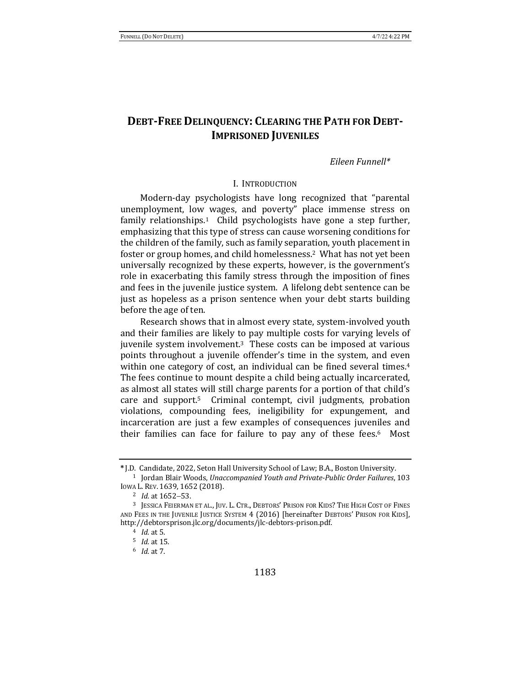# **DEBT-FREE DELINQUENCY: CLEARING THE PATH FOR DEBT-IMPRISONED JUVENILES**

### *Eileen Funnell\**

### I. INTRODUCTION

Modern-day psychologists have long recognized that "parental unemployment, low wages, and poverty" place immense stress on family relationships.<sup>1</sup> Child psychologists have gone a step further, emphasizing that this type of stress can cause worsening conditions for the children of the family, such as family separation, youth placement in foster or group homes, and child homelessness.<sup>2</sup> What has not yet been universally recognized by these experts, however, is the government's role in exacerbating this family stress through the imposition of fines and fees in the juvenile justice system. A lifelong debt sentence can be just as hopeless as a prison sentence when your debt starts building before the age of ten.

Research shows that in almost every state, system-involved youth and their families are likely to pay multiple costs for varying levels of juvenile system involvement. $3$  These costs can be imposed at various points throughout a juvenile offender's time in the system, and even within one category of cost, an individual can be fined several times.<sup>4</sup> The fees continue to mount despite a child being actually incarcerated, as almost all states will still charge parents for a portion of that child's care and support.<sup>5</sup> Criminal contempt, civil judgments, probation violations, compounding fees, ineligibility for expungement, and incarceration are just a few examples of consequences juveniles and their families can face for failure to pay any of these fees. $6$  Most

**<sup>\*</sup>** J.D. Candidate, 2022, Seton Hall University School of Law; B.A., Boston University.

<sup>&</sup>lt;sup>1</sup> Jordan Blair Woods, *Unaccompanied Youth and Private-Public Order Failures*, 103 Iowa L. Rev. 1639, 1652 (2018).

<sup>&</sup>lt;sup>2</sup> *Id.* at 1652-53.

<sup>&</sup>lt;sup>3</sup> JESSICA FEIERMAN ET AL., JUV. L. CTR., DEBTORS' PRISON FOR KIDS? THE HIGH COST OF FINES AND FEES IN THE JUVENILE JUSTICE SYSTEM 4 (2016) [hereinafter DEBTORS' PRISON FOR KIDS], http://debtorsprison.jlc.org/documents/jlc-debtors-prison.pdf.

<sup>&</sup>lt;sup>4</sup> *Id.* at 5.

<sup>5</sup> *Id.* at 15.

<sup>6</sup> *Id.* at 7.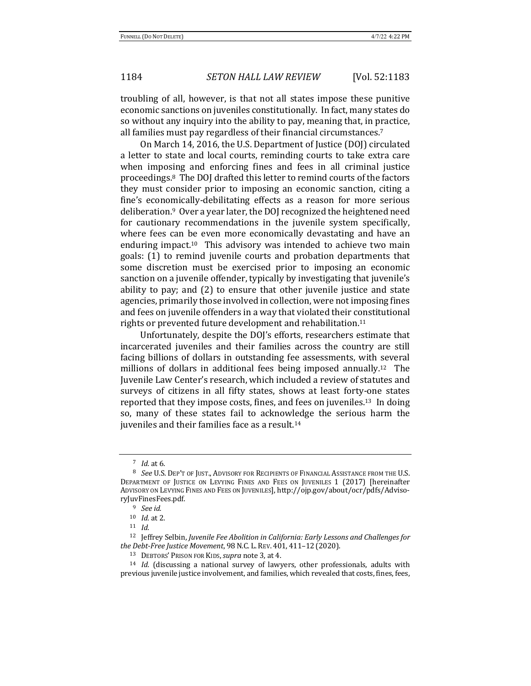troubling of all, however, is that not all states impose these punitive economic sanctions on juveniles constitutionally. In fact, many states do so without any inquiry into the ability to pay, meaning that, in practice, all families must pay regardless of their financial circumstances.<sup>7</sup>

On March 14, 2016, the U.S. Department of Justice (DOJ) circulated a letter to state and local courts, reminding courts to take extra care when imposing and enforcing fines and fees in all criminal justice proceedings.<sup>8</sup> The DOJ drafted this letter to remind courts of the factors they must consider prior to imposing an economic sanction, citing a fine's economically-debilitating effects as a reason for more serious deliberation.<sup>9</sup> Over a year later, the DOJ recognized the heightened need for cautionary recommendations in the juvenile system specifically, where fees can be even more economically devastating and have an enduring impact.<sup>10</sup> This advisory was intended to achieve two main goals: (1) to remind juvenile courts and probation departments that some discretion must be exercised prior to imposing an economic sanction on a juvenile offender, typically by investigating that juvenile's ability to pay; and  $(2)$  to ensure that other juvenile justice and state agencies, primarily those involved in collection, were not imposing fines and fees on juvenile offenders in a way that violated their constitutional rights or prevented future development and rehabilitation.<sup>11</sup>

Unfortunately, despite the DOJ's efforts, researchers estimate that incarcerated juveniles and their families across the country are still facing billions of dollars in outstanding fee assessments, with several millions of dollars in additional fees being imposed annually.<sup>12</sup> The Juvenile Law Center's research, which included a review of statutes and surveys of citizens in all fifty states, shows at least forty-one states reported that they impose costs, fines, and fees on juveniles.<sup>13</sup> In doing so, many of these states fail to acknowledge the serious harm the juveniles and their families face as a result.<sup>14</sup>

 $7$  *Id.* at 6.

<sup>&</sup>lt;sup>8</sup> See U.S. Dep't of Just., Advisory for Recipients of Financial Assistance from the U.S. DEPARTMENT OF JUSTICE ON LEVYING FINES AND FEES ON JUVENILES 1 (2017) [hereinafter ADVISORY ON LEVYING FINES AND FEES ON JUVENILES], http://ojp.gov/about/ocr/pdfs/AdvisoryJuvFinesFees.pdf.

<sup>9</sup> *See id.*

<sup>10</sup> *Id.* at 2.

<sup>11</sup> *Id.*

<sup>&</sup>lt;sup>12</sup> Jeffrey Selbin, Juvenile Fee Abolition in California: Early Lessons and Challenges for *the Debt-Free Justice Movement*, 98N.C. L. REV. 401, 411–12 (2020).

<sup>&</sup>lt;sup>13</sup> DEBTORS' PRISON FOR KIDS, *supra* note 3, at 4.

<sup>&</sup>lt;sup>14</sup> *Id.* (discussing a national survey of lawyers, other professionals, adults with previous juvenile justice involvement, and families, which revealed that costs, fines, fees,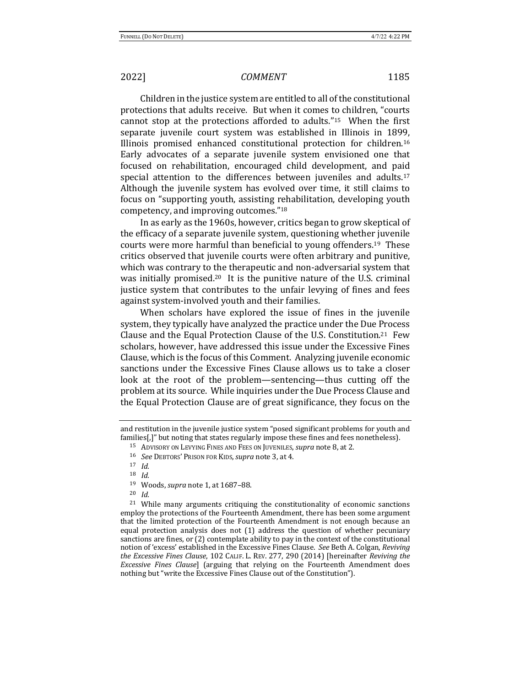Children in the justice system are entitled to all of the constitutional protections that adults receive. But when it comes to children, "courts cannot stop at the protections afforded to adults."<sup>15</sup> When the first separate juvenile court system was established in Illinois in 1899, Illinois promised enhanced constitutional protection for children.<sup>16</sup> Early advocates of a separate juvenile system envisioned one that focused on rehabilitation, encouraged child development, and paid special attention to the differences between juveniles and adults.<sup>17</sup> Although the juvenile system has evolved over time, it still claims to focus on "supporting youth, assisting rehabilitation, developing youth competency, and improving outcomes."<sup>18</sup>

In as early as the 1960s, however, critics began to grow skeptical of the efficacy of a separate juvenile system, questioning whether juvenile courts were more harmful than beneficial to young offenders.<sup>19</sup> These critics observed that juvenile courts were often arbitrary and punitive, which was contrary to the therapeutic and non-adversarial system that was initially promised.<sup>20</sup> It is the punitive nature of the U.S. criminal justice system that contributes to the unfair levying of fines and fees against system-involved youth and their families.

When scholars have explored the issue of fines in the juvenile system, they typically have analyzed the practice under the Due Process Clause and the Equal Protection Clause of the U.S. Constitution.<sup>21</sup> Few scholars, however, have addressed this issue under the Excessive Fines Clause, which is the focus of this Comment. Analyzing juvenile economic sanctions under the Excessive Fines Clause allows us to take a closer look at the root of the problem—sentencing—thus cutting off the problem at its source. While inquiries under the Due Process Clause and the Equal Protection Clause are of great significance, they focus on the

<sup>17</sup> *Id.*

<sup>18</sup> *Id.*

<sup>20</sup> *Id.*

<sup>21</sup> While many arguments critiquing the constitutionality of economic sanctions employ the protections of the Fourteenth Amendment, there has been some argument that the limited protection of the Fourteenth Amendment is not enough because an equal protection analysis does not  $(1)$  address the question of whether pecuniary sanctions are fines, or  $(2)$  contemplate ability to pay in the context of the constitutional notion of 'excess' established in the Excessive Fines Clause. See Beth A. Colgan, Reviving the Excessive Fines Clause, 102 CALIF. L. REV. 277, 290 (2014) [hereinafter *Reviving the Excessive Fines Clause*] (arguing that relying on the Fourteenth Amendment does nothing but "write the Excessive Fines Clause out of the Constitution").

and restitution in the juvenile justice system "posed significant problems for youth and families[,]" but noting that states regularly impose these fines and fees nonetheless).

<sup>15</sup> ADVISORY ON LEVYING FINES AND FEES ON JUVENILES, *supra* note 8, at 2.

<sup>16</sup> *See* DEBTORS' PRISON FOR KIDS,*supra* note 3, at 4. 

<sup>&</sup>lt;sup>19</sup> Woods, *supra* note 1, at 1687-88.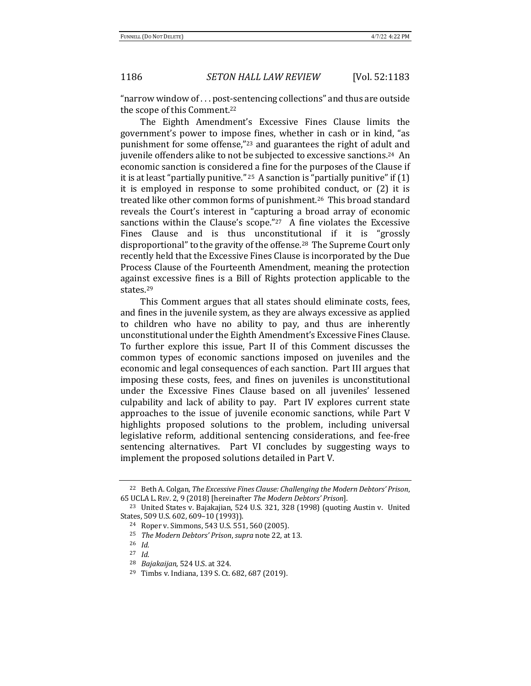"narrow window of ... post-sentencing collections" and thus are outside the scope of this Comment.<sup>22</sup>

The Eighth Amendment's Excessive Fines Clause limits the government's power to impose fines, whether in cash or in kind, "as punishment for some offense,"<sup>23</sup> and guarantees the right of adult and juvenile offenders alike to not be subjected to excessive sanctions.<sup>24</sup> An economic sanction is considered a fine for the purposes of the Clause if it is at least "partially punitive." <sup>25</sup> A sanction is "partially punitive" if  $(1)$ it is employed in response to some prohibited conduct, or  $(2)$  it is treated like other common forms of punishment.<sup>26</sup> This broad standard reveals the Court's interest in "capturing a broad array of economic sanctions within the Clause's scope."<sup>27</sup> A fine violates the Excessive Fines Clause and is thus unconstitutional if it is "grossly disproportional" to the gravity of the offense.<sup>28</sup> The Supreme Court only recently held that the Excessive Fines Clause is incorporated by the Due Process Clause of the Fourteenth Amendment, meaning the protection against excessive fines is a Bill of Rights protection applicable to the states.29

This Comment argues that all states should eliminate costs, fees, and fines in the juvenile system, as they are always excessive as applied to children who have no ability to pay, and thus are inherently unconstitutional under the Eighth Amendment's Excessive Fines Clause. To further explore this issue, Part II of this Comment discusses the common types of economic sanctions imposed on juveniles and the economic and legal consequences of each sanction. Part III argues that imposing these costs, fees, and fines on juveniles is unconstitutional under the Excessive Fines Clause based on all juveniles' lessened culpability and lack of ability to pay. Part IV explores current state approaches to the issue of juvenile economic sanctions, while Part V highlights proposed solutions to the problem, including universal legislative reform, additional sentencing considerations, and fee-free sentencing alternatives. Part VI concludes by suggesting ways to implement the proposed solutions detailed in Part V.

<sup>&</sup>lt;sup>22</sup> Beth A. Colgan, *The Excessive Fines Clause: Challenging the Modern Debtors' Prison,* 65 UCLA L. REV. 2, 9 (2018) [hereinafter *The Modern Debtors' Prison*]. 

<sup>&</sup>lt;sup>23</sup> United States v. Bajakajian, 524 U.S. 321, 328 (1998) (quoting Austin v. United States, 509 U.S. 602, 609-10 (1993)).

<sup>&</sup>lt;sup>24</sup> Roper v. Simmons, 543 U.S. 551, 560 (2005).

<sup>&</sup>lt;sup>25</sup> *The Modern Debtors' Prison, supra note* 22, at 13.

<sup>26</sup> *Id.*

<sup>27</sup> *Id.*

<sup>&</sup>lt;sup>28</sup> *Bajakaijan*, 524 U.S. at 324.

 $29$  Timbs v. Indiana, 139 S. Ct. 682, 687 (2019).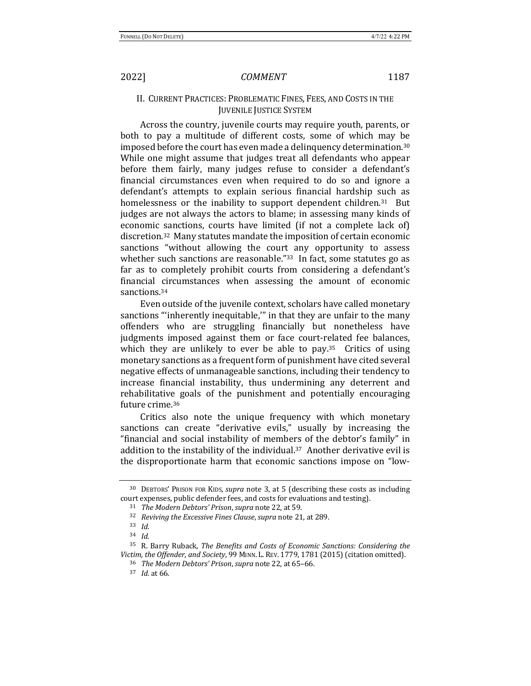# II. CURRENT PRACTICES: PROBLEMATIC FINES, FEES, AND COSTS IN THE **JUVENILE JUSTICE SYSTEM**

Across the country, juvenile courts may require youth, parents, or both to pay a multitude of different costs, some of which may be imposed before the court has even made a delinquency determination.<sup>30</sup> While one might assume that judges treat all defendants who appear before them fairly, many judges refuse to consider a defendant's financial circumstances even when required to do so and ignore a defendant's attempts to explain serious financial hardship such as homelessness or the inability to support dependent children.<sup>31</sup> But judges are not always the actors to blame; in assessing many kinds of economic sanctions, courts have limited (if not a complete lack of) discretion.<sup>32</sup> Many statutes mandate the imposition of certain economic sanctions "without allowing the court any opportunity to assess whether such sanctions are reasonable." $33$  In fact, some statutes go as far as to completely prohibit courts from considering a defendant's financial circumstances when assessing the amount of economic sanctions.<sup>34</sup>

Even outside of the juvenile context, scholars have called monetary sanctions "inherently inequitable," in that they are unfair to the many offenders who are struggling financially but nonetheless have judgments imposed against them or face court-related fee balances, which they are unlikely to ever be able to pay.<sup>35</sup> Critics of using monetary sanctions as a frequent form of punishment have cited several negative effects of unmanageable sanctions, including their tendency to increase financial instability, thus undermining any deterrent and rehabilitative goals of the punishment and potentially encouraging future crime.<sup>36</sup>

Critics also note the unique frequency with which monetary sanctions can create "derivative evils," usually by increasing the "financial and social instability of members of the debtor's family" in addition to the instability of the individual. $37$  Another derivative evil is the disproportionate harm that economic sanctions impose on "low-

<sup>&</sup>lt;sup>30</sup> DEBTORS' PRISON FOR KIDS, *supra* note 3, at 5 (describing these costs as including court expenses, public defender fees, and costs for evaluations and testing).

<sup>&</sup>lt;sup>31</sup> *The Modern Debtors' Prison, supra* note 22, at 59.

<sup>&</sup>lt;sup>32</sup> *Reviving the Excessive Fines Clause, supra note* 21, at 289.

<sup>33</sup> *Id.*

<sup>34</sup> *Id.*

<sup>&</sup>lt;sup>35</sup> R. Barry Ruback, *The Benefits and Costs of Economic Sanctions: Considering the* Victim, the Offender, and Society, 99 MINN. L. REV. 1779, 1781 (2015) (citation omitted).

<sup>&</sup>lt;sup>36</sup> *The Modern Debtors' Prison, supra note* 22, at 65-66.

<sup>37</sup> *Id.* at 66.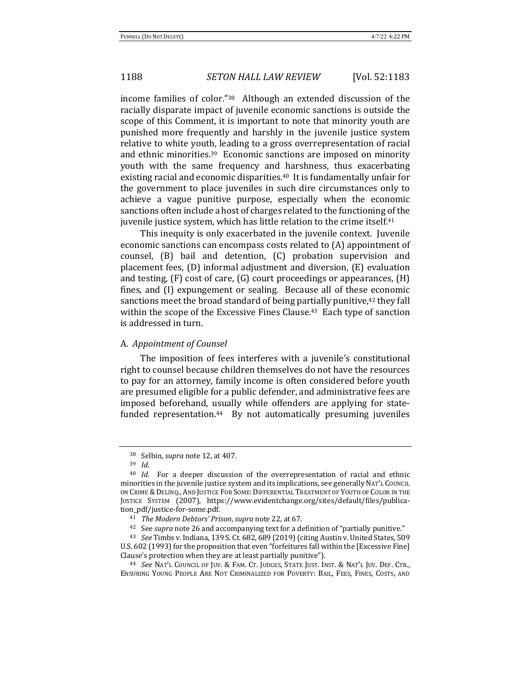income families of color." $38$  Although an extended discussion of the racially disparate impact of juvenile economic sanctions is outside the scope of this Comment, it is important to note that minority youth are punished more frequently and harshly in the juvenile justice system relative to white youth, leading to a gross overrepresentation of racial and ethnic minorities.<sup>39</sup> Economic sanctions are imposed on minority youth with the same frequency and harshness, thus exacerbating existing racial and economic disparities.<sup>40</sup> It is fundamentally unfair for the government to place juveniles in such dire circumstances only to achieve a vague punitive purpose, especially when the economic sanctions often include a host of charges related to the functioning of the juvenile justice system, which has little relation to the crime itself.<sup>41</sup>

This inequity is only exacerbated in the juvenile context. Juvenile economic sanctions can encompass costs related to (A) appointment of counsel, (B) bail and detention, (C) probation supervision and placement fees,  $(D)$  informal adjustment and diversion,  $(E)$  evaluation and testing,  $(F)$  cost of care,  $(G)$  court proceedings or appearances,  $(H)$ fines, and (I) expungement or sealing. Because all of these economic sanctions meet the broad standard of being partially punitive,<sup>42</sup> they fall within the scope of the Excessive Fines Clause.<sup>43</sup> Each type of sanction is addressed in turn.

### A. *Appointment of Counsel*

The imposition of fees interferes with a juvenile's constitutional right to counsel because children themselves do not have the resources to pay for an attorney, family income is often considered before youth are presumed eligible for a public defender, and administrative fees are imposed beforehand, usually while offenders are applying for statefunded representation.<sup>44</sup> By not automatically presuming juveniles

<sup>&</sup>lt;sup>38</sup> Selbin, *supra* note 12, at 407.

<sup>39</sup> *Id.*

<sup>&</sup>lt;sup>40</sup> *Id.* For a deeper discussion of the overrepresentation of racial and ethnic minorities in the juvenile justice system and its implications, see generally NAT'L COUNCIL ON CRIME & DELINQ., AND JUSTICE FOR SOME: DIFFERENTIAL TREATMENT OF YOUTH OF COLOR IN THE JUSTICE SYSTEM (2007), https://www.evidentchange.org/sites/default/files/publication\_pdf/justice-for-some.pdf.

<sup>&</sup>lt;sup>41</sup> *The Modern Debtors' Prison, supra note* 22, at 67.

<sup>&</sup>lt;sup>42</sup> See *supra* note 26 and accompanying text for a definition of "partially punitive."

<sup>43</sup> *See* Timbs v. Indiana, 139 S. Ct. 682, 689 (2019) (citing Austin v. United States, 509 U.S. 602 (1993) for the proposition that even "forfeitures fall within the [Excessive Fine] Clause's protection when they are at least partially punitive").

<sup>44</sup> *See* NAT'L COUNCIL OF JUV. & FAM. CT. JUDGES, STATE JUST. INST. & NAT'L JUV. DEF. CTR., ENSURING YOUNG PEOPLE ARE NOT CRIMINALIZED FOR POVERTY: BAIL, FEES, FINES, COSTS, AND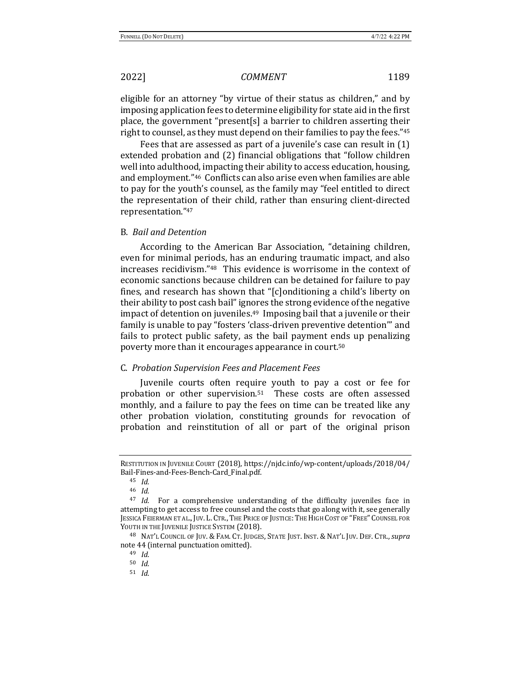eligible for an attorney "by virtue of their status as children," and by imposing application fees to determine eligibility for state aid in the first place, the government "present[s] a barrier to children asserting their right to counsel, as they must depend on their families to pay the fees." $45$ 

Fees that are assessed as part of a juvenile's case can result in  $(1)$ extended probation and (2) financial obligations that "follow children" well into adulthood, impacting their ability to access education, housing, and employment."<sup>46</sup> Conflicts can also arise even when families are able to pay for the youth's counsel, as the family may "feel entitled to direct the representation of their child, rather than ensuring client-directed representation."47

### B. *Bail and Detention*

According to the American Bar Association, "detaining children, even for minimal periods, has an enduring traumatic impact, and also increases recidivism."<sup>48</sup> This evidence is worrisome in the context of economic sanctions because children can be detained for failure to pay fines, and research has shown that "[c]onditioning a child's liberty on their ability to post cash bail" ignores the strong evidence of the negative impact of detention on juveniles.<sup>49</sup> Imposing bail that a juvenile or their family is unable to pay "fosters 'class-driven preventive detention'" and fails to protect public safety, as the bail payment ends up penalizing poverty more than it encourages appearance in court.<sup>50</sup>

### C. *Probation Supervision Fees and Placement Fees*

Juvenile courts often require youth to pay a cost or fee for probation or other supervision.<sup>51</sup> These costs are often assessed monthly, and a failure to pay the fees on time can be treated like any other probation violation, constituting grounds for revocation of probation and reinstitution of all or part of the original prison

RESTITUTION IN JUVENILE COURT (2018), https://njdc.info/wp-content/uploads/2018/04/ Bail-Fines-and-Fees-Bench-Card\_Final.pdf. 

<sup>45</sup> *Id.*

<sup>46</sup> *Id.*

<sup>&</sup>lt;sup>47</sup> *Id.* For a comprehensive understanding of the difficulty juveniles face in attempting to get access to free counsel and the costs that go along with it, see generally JESSICA FEIERMAN ET AL., JUV. L. CTR., THE PRICE OF JUSTICE: THE HIGH COST OF "FREE" COUNSEL FOR YOUTH IN THE JUVENILE JUSTICE SYSTEM (2018).

<sup>&</sup>lt;sup>48</sup> NAT'L COUNCIL OF JUV. & FAM. CT. JUDGES, STATE JUST. INST. & NAT'L JUV. DEF. CTR., *supra* note 44 (internal punctuation omitted).

<sup>49</sup> *Id.*

<sup>50</sup> *Id.*

<sup>51</sup> *Id.*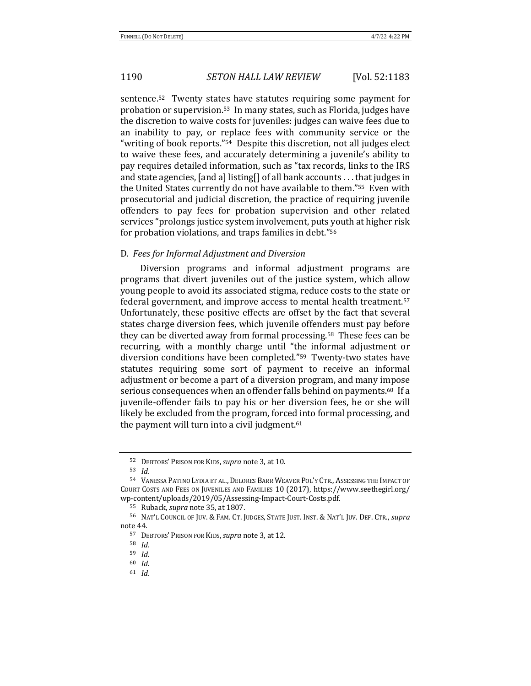sentence.<sup>52</sup> Twenty states have statutes requiring some payment for probation or supervision.<sup>53</sup> In many states, such as Florida, judges have the discretion to waive costs for juveniles: judges can waive fees due to an inability to pay, or replace fees with community service or the "writing of book reports."<sup>54</sup> Despite this discretion, not all judges elect to waive these fees, and accurately determining a juvenile's ability to pay requires detailed information, such as "tax records, links to the IRS and state agencies, [and a] listing[] of all bank accounts  $\dots$  that judges in the United States currently do not have available to them."<sup>55</sup> Even with prosecutorial and judicial discretion, the practice of requiring juvenile offenders to pay fees for probation supervision and other related services "prolongs justice system involvement, puts youth at higher risk for probation violations, and traps families in debt."56

### D. Fees for Informal Adjustment and Diversion

Diversion programs and informal adjustment programs are programs that divert juveniles out of the justice system, which allow young people to avoid its associated stigma, reduce costs to the state or federal government, and improve access to mental health treatment.<sup>57</sup> Unfortunately, these positive effects are offset by the fact that several states charge diversion fees, which juvenile offenders must pay before they can be diverted away from formal processing.<sup>58</sup> These fees can be recurring, with a monthly charge until "the informal adjustment or diversion conditions have been completed."<sup>59</sup> Twenty-two states have statutes requiring some sort of payment to receive an informal adjustment or become a part of a diversion program, and many impose serious consequences when an offender falls behind on payments.<sup>60</sup> If a juvenile-offender fails to pay his or her diversion fees, he or she will likely be excluded from the program, forced into formal processing, and the payment will turn into a civil judgment. $61$ 

<sup>52</sup> DEBTORS' PRISON FOR KIDS, *supra* note 3, at 10.

<sup>53</sup> *Id.*

<sup>54</sup> VANESSA PATINO LYDIA ET AL., DELORES BARR WEAVER POL'Y CTR., ASSESSING THE IMPACT OF COURT COSTS AND FEES ON JUVENILES AND FAMILIES 10 (2017), https://www.seethegirl.org/ wp-content/uploads/2019/05/Assessing-Impact-Court-Costs.pdf.

<sup>55</sup> Ruback, *supra* note 35, at 1807.

<sup>56</sup> NAT'L COUNCIL OF JUV. & FAM. CT. JUDGES, STATE JUST. INST. & NAT'L JUV. DEF. CTR., *supra* note 44.

<sup>57</sup> DEBTORS' PRISON FOR KIDS, *supra* note 3, at 12.

<sup>58</sup> *Id.*

<sup>59</sup> *Id.*

<sup>60</sup> *Id.*

<sup>61</sup> *Id.*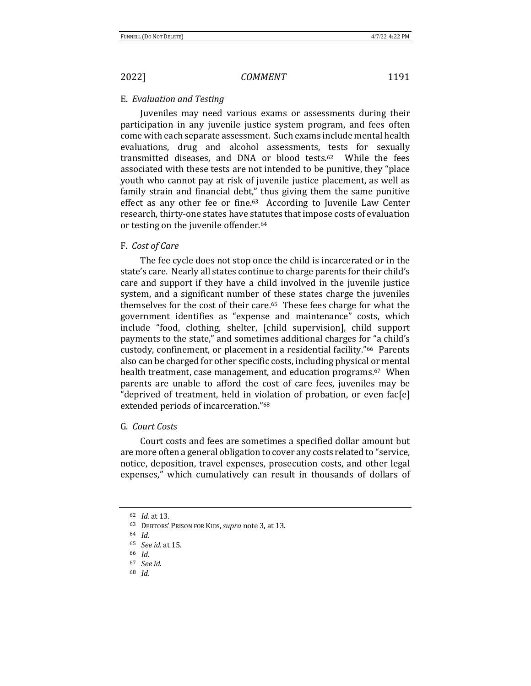### E. *Evaluation and Testing*

Juveniles may need various exams or assessments during their participation in any juvenile justice system program, and fees often come with each separate assessment. Such exams include mental health evaluations, drug and alcohol assessments, tests for sexually transmitted diseases, and DNA or blood tests. $62$  While the fees associated with these tests are not intended to be punitive, they "place youth who cannot pay at risk of juvenile justice placement, as well as family strain and financial debt," thus giving them the same punitive effect as any other fee or fine. $63$  According to Juvenile Law Center research, thirty-one states have statutes that impose costs of evaluation or testing on the juvenile offender.<sup>64</sup>

### F. *Cost of Care*

The fee cycle does not stop once the child is incarcerated or in the state's care. Nearly all states continue to charge parents for their child's care and support if they have a child involved in the juvenile justice system, and a significant number of these states charge the juveniles themselves for the cost of their care. $65$  These fees charge for what the government identifies as "expense and maintenance" costs, which include "food, clothing, shelter, [child supervision], child support payments to the state," and sometimes additional charges for "a child's custody, confinement, or placement in a residential facility."66 Parents also can be charged for other specific costs, including physical or mental health treatment, case management, and education programs.<sup>67</sup> When parents are unable to afford the cost of care fees, juveniles may be "deprived of treatment, held in violation of probation, or even fac[e] extended periods of incarceration."<sup>68</sup>

# G. *Court Costs*

Court costs and fees are sometimes a specified dollar amount but are more often a general obligation to cover any costs related to "service, notice, deposition, travel expenses, prosecution costs, and other legal expenses," which cumulatively can result in thousands of dollars of

<sup>62</sup> *Id.* at 13.

<sup>63</sup> DEBTORS' PRISON FOR KIDS, *supra* note 3, at 13.

<sup>64</sup> *Id.*

<sup>65</sup> *See id.* at 15. 

<sup>66</sup> *Id.*

<sup>67</sup> *See id.*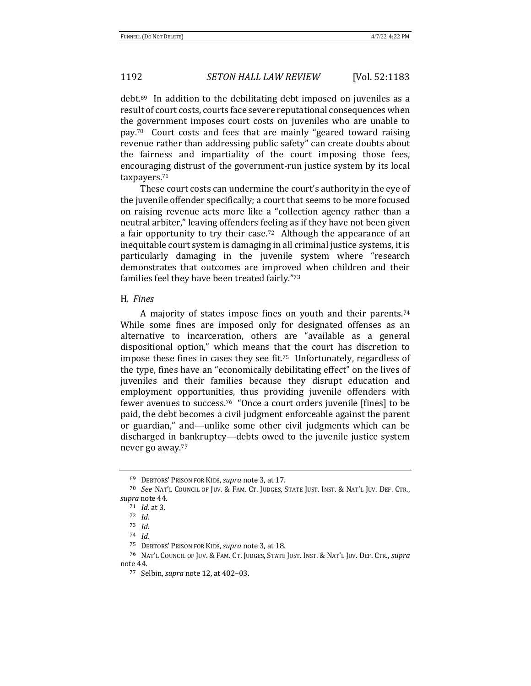debt.<sup>69</sup> In addition to the debilitating debt imposed on juveniles as a result of court costs, courts face severe reputational consequences when the government imposes court costs on juveniles who are unable to pay.<sup>70</sup> Court costs and fees that are mainly "geared toward raising revenue rather than addressing public safety" can create doubts about the fairness and impartiality of the court imposing those fees, encouraging distrust of the government-run justice system by its local taxpayers.71

These court costs can undermine the court's authority in the eye of the juvenile offender specifically; a court that seems to be more focused on raising revenue acts more like a "collection agency rather than a neutral arbiter," leaving offenders feeling as if they have not been given a fair opportunity to try their case.<sup>72</sup> Although the appearance of an inequitable court system is damaging in all criminal justice systems, it is particularly damaging in the juvenile system where "research demonstrates that outcomes are improved when children and their families feel they have been treated fairly."73

### H. *Fines*

A majority of states impose fines on youth and their parents.<sup>74</sup> While some fines are imposed only for designated offenses as an alternative to incarceration, others are "available as a general dispositional option," which means that the court has discretion to impose these fines in cases they see fit.<sup>75</sup> Unfortunately, regardless of the type, fines have an "economically debilitating effect" on the lives of juveniles and their families because they disrupt education and employment opportunities, thus providing juvenile offenders with fewer avenues to success.<sup>76</sup> "Once a court orders juvenile [fines] to be paid, the debt becomes a civil judgment enforceable against the parent or guardian," and—unlike some other civil judgments which can be discharged in bankruptcy—debts owed to the juvenile justice system never go away.<sup>77</sup>

<sup>69</sup> DEBTORS' PRISON FOR KIDS, *supra* note 3, at 17.

<sup>&</sup>lt;sup>70</sup> See NAT'L COUNCIL OF JUV. & FAM. CT. JUDGES, STATE JUST. INST. & NAT'L JUV. DEF. CTR., supra note 44.

<sup>71</sup> *Id.* at 3.

<sup>72</sup> *Id.*

<sup>73</sup> *Id.*

<sup>74</sup> *Id.*

<sup>&</sup>lt;sup>75</sup> DEBTORS' PRISON FOR KIDS, *supra* note 3, at 18.

<sup>&</sup>lt;sup>76</sup> NAT'L COUNCIL OF JUV. & FAM. CT. JUDGES, STATE JUST. INST. & NAT'L JUV. DEF. CTR., *supra* note 44.

<sup>77</sup> Selbin, *supra* note 12, at 402-03.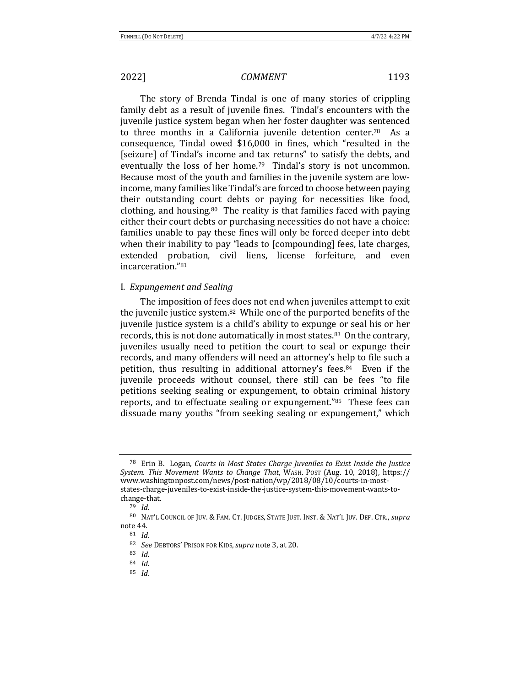The story of Brenda Tindal is one of many stories of crippling family debt as a result of juvenile fines. Tindal's encounters with the juvenile justice system began when her foster daughter was sentenced to three months in a California juvenile detention center.<sup>78</sup> As a consequence, Tindal owed \$16,000 in fines, which "resulted in the [seizure] of Tindal's income and tax returns" to satisfy the debts, and eventually the loss of her home.<sup>79</sup> Tindal's story is not uncommon. Because most of the youth and families in the juvenile system are lowincome, many families like Tindal's are forced to choose between paying their outstanding court debts or paying for necessities like food, clothing, and housing.<sup>80</sup> The reality is that families faced with paying either their court debts or purchasing necessities do not have a choice: families unable to pay these fines will only be forced deeper into debt when their inability to pay "leads to [compounding] fees, late charges, extended probation, civil liens, license forfeiture, and even incarceration."81

### I. *Expungement and Sealing*

The imposition of fees does not end when juveniles attempt to exit the juvenile justice system.<sup>82</sup> While one of the purported benefits of the juvenile justice system is a child's ability to expunge or seal his or her records, this is not done automatically in most states.<sup>83</sup> On the contrary, juveniles usually need to petition the court to seal or expunge their records, and many offenders will need an attorney's help to file such a petition, thus resulting in additional attorney's fees.<sup>84</sup> Even if the juvenile proceeds without counsel, there still can be fees "to file petitions seeking sealing or expungement, to obtain criminal history reports, and to effectuate sealing or expungement."<sup>85</sup> These fees can dissuade many youths "from seeking sealing or expungement," which

<sup>&</sup>lt;sup>78</sup> Erin B. Logan, *Courts in Most States Charge Juveniles to Exist Inside the Justice System. This Movement Wants to Change That*, WASH. POST (Aug. 10, 2018), https:// www.washingtonpost.com/news/post-nation/wp/2018/08/10/courts-in-moststates-charge-juveniles-to-exist-inside-the-justice-system-this-movement-wants-tochange-that. 

<sup>79</sup> *Id*.

<sup>80</sup> NAT'L COUNCIL OF JUV. & FAM. CT. JUDGES, STATE JUST. INST. & NAT'L JUV. DEF. CTR., *supra* note 44.

<sup>81</sup> *Id.*

<sup>82</sup> *See* DEBTORS' PRISON FOR KIDS, *supra* note 3, at 20.

<sup>83</sup> *Id.*

<sup>84</sup> *Id.*

<sup>85</sup> *Id.*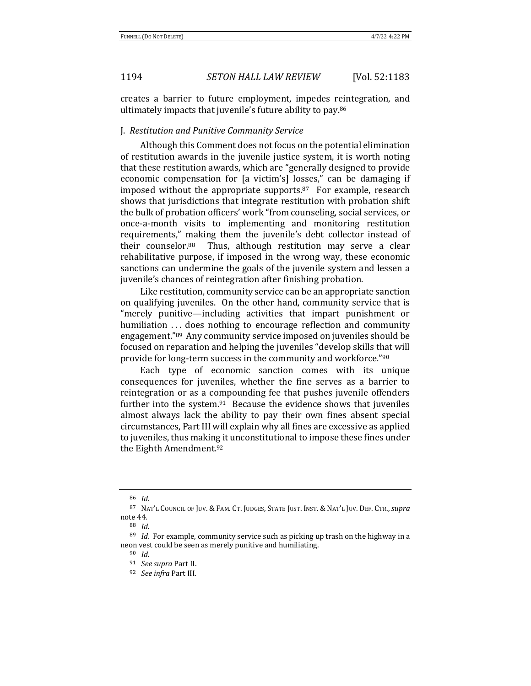creates a barrier to future employment, impedes reintegration, and ultimately impacts that juvenile's future ability to pay. $86$ 

### J. *Restitution and Punitive Community Service*

Although this Comment does not focus on the potential elimination of restitution awards in the juvenile justice system, it is worth noting that these restitution awards, which are "generally designed to provide economic compensation for [a victim's] losses," can be damaging if imposed without the appropriate supports. $87$  For example, research shows that jurisdictions that integrate restitution with probation shift the bulk of probation officers' work "from counseling, social services, or once-a-month visits to implementing and monitoring restitution requirements," making them the juvenile's debt collector instead of their counselor. $88$  Thus, although restitution may serve a clear rehabilitative purpose, if imposed in the wrong way, these economic sanctions can undermine the goals of the juvenile system and lessen a juvenile's chances of reintegration after finishing probation.

Like restitution, community service can be an appropriate sanction on qualifying juveniles. On the other hand, community service that is "merely punitive—including activities that impart punishment or humiliation ... does nothing to encourage reflection and community engagement."<sup>89</sup> Any community service imposed on juveniles should be focused on reparation and helping the juveniles "develop skills that will provide for long-term success in the community and workforce."<sup>90</sup>

Each type of economic sanction comes with its unique consequences for juveniles, whether the fine serves as a barrier to reintegration or as a compounding fee that pushes juvenile offenders further into the system. $91$  Because the evidence shows that juveniles almost always lack the ability to pay their own fines absent special circumstances, Part III will explain why all fines are excessive as applied to juveniles, thus making it unconstitutional to impose these fines under the Eighth Amendment.<sup>92</sup>

<sup>86</sup> *Id.*

<sup>87</sup> NAT'L COUNCIL OF JUV. & FAM. CT. JUDGES, STATE JUST. INST. & NAT'L JUV. DEF. CTR., *supra* note 44.

<sup>88</sup> *Id.*

 $89$  *Id.* For example, community service such as picking up trash on the highway in a neon vest could be seen as merely punitive and humiliating.

<sup>90</sup> *Id.*

<sup>&</sup>lt;sup>91</sup> *See supra Part II.* 

<sup>&</sup>lt;sup>92</sup> *See infra* Part III.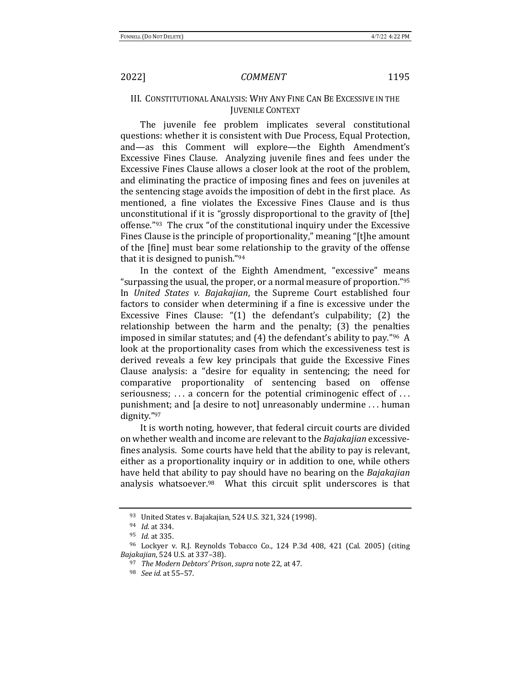# III. CONSTITUTIONAL ANALYSIS: WHY ANY FINE CAN BE EXCESSIVE IN THE **JUVENILE CONTEXT**

The juvenile fee problem implicates several constitutional questions: whether it is consistent with Due Process, Equal Protection, and—as this Comment will explore—the Eighth Amendment's Excessive Fines Clause. Analyzing juvenile fines and fees under the Excessive Fines Clause allows a closer look at the root of the problem, and eliminating the practice of imposing fines and fees on juveniles at the sentencing stage avoids the imposition of debt in the first place. As mentioned, a fine violates the Excessive Fines Clause and is thus unconstitutional if it is "grossly disproportional to the gravity of [the] offense."<sup>93</sup> The crux "of the constitutional inquiry under the Excessive Fines Clause is the principle of proportionality," meaning "[t]he amount of the [fine] must bear some relationship to the gravity of the offense that it is designed to punish." $94$ 

In the context of the Eighth Amendment, "excessive" means "surpassing the usual, the proper, or a normal measure of proportion."<sup>95</sup> In *United States v. Bajakajian*, the Supreme Court established four factors to consider when determining if a fine is excessive under the Excessive Fines Clause: " $(1)$  the defendant's culpability;  $(2)$  the relationship between the harm and the penalty;  $(3)$  the penalties imposed in similar statutes; and  $(4)$  the defendant's ability to pay."<sup>96</sup> A look at the proportionality cases from which the excessiveness test is derived reveals a few key principals that guide the Excessive Fines Clause analysis: a "desire for equality in sentencing; the need for comparative proportionality of sentencing based on offense seriousness;  $\dots$  a concern for the potential criminogenic effect of  $\dots$ punishment; and [a desire to not] unreasonably undermine ... human dignity."97 

It is worth noting, however, that federal circuit courts are divided on whether wealth and income are relevant to the *Bajakajian* excessivefines analysis. Some courts have held that the ability to pay is relevant, either as a proportionality inquiry or in addition to one, while others have held that ability to pay should have no bearing on the *Bajakajian* analysis whatsoever. $98$  What this circuit split underscores is that

<sup>93</sup> United States v. Bajakajian, 524 U.S. 321, 324 (1998).

<sup>94</sup> *Id.* at 334.

<sup>95</sup> *Id.* at 335.

<sup>&</sup>lt;sup>96</sup> Lockyer v. R.J. Reynolds Tobacco Co., 124 P.3d 408, 421 (Cal. 2005) (citing *Bajakajian*, 524 U.S. at 337-38).

<sup>97</sup> *The Modern Debtors' Prison*, *supra* note 22, at 47.

<sup>98</sup> *See id.* at 55–57.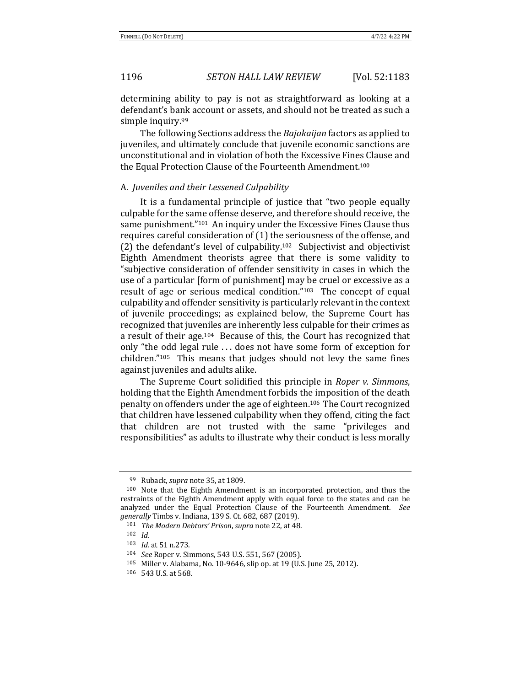determining ability to pay is not as straightforward as looking at a defendant's bank account or assets, and should not be treated as such a simple inquiry.<sup>99</sup>

The following Sections address the *Bajakaijan* factors as applied to juveniles, and ultimately conclude that juvenile economic sanctions are unconstitutional and in violation of both the Excessive Fines Clause and the Equal Protection Clause of the Fourteenth Amendment.<sup>100</sup>

### A. *Juveniles and their Lessened Culpability*

It is a fundamental principle of justice that "two people equally culpable for the same offense deserve, and therefore should receive, the same punishment."<sup>101</sup> An inquiry under the Excessive Fines Clause thus requires careful consideration of  $(1)$  the seriousness of the offense, and (2) the defendant's level of culpability.<sup>102</sup> Subjectivist and objectivist Eighth Amendment theorists agree that there is some validity to "subjective consideration of offender sensitivity in cases in which the use of a particular [form of punishment] may be cruel or excessive as a result of age or serious medical condition." $103$  The concept of equal culpability and offender sensitivity is particularly relevant in the context of juvenile proceedings; as explained below, the Supreme Court has recognized that juveniles are inherently less culpable for their crimes as a result of their age.<sup>104</sup> Because of this, the Court has recognized that only "the odd legal rule ... does not have some form of exception for  $children."105$  This means that judges should not levy the same fines against juveniles and adults alike.

The Supreme Court solidified this principle in *Roper v. Simmons*, holding that the Eighth Amendment forbids the imposition of the death penalty on offenders under the age of eighteen.<sup>106</sup> The Court recognized that children have lessened culpability when they offend, citing the fact that children are not trusted with the same "privileges and responsibilities" as adults to illustrate why their conduct is less morally

<sup>99</sup> Ruback, *supra* note 35, at 1809.

 $100$  Note that the Eighth Amendment is an incorporated protection, and thus the restraints of the Eighth Amendment apply with equal force to the states and can be analyzed under the Equal Protection Clause of the Fourteenth Amendment. See *generally* Timbs v. Indiana, 139 S. Ct. 682, 687 (2019).

<sup>101</sup> *The Modern Debtors' Prison, supra note* 22, at 48.

<sup>102</sup> *Id.*

<sup>103</sup> *Id.* at 51 n.273.

<sup>104</sup> *See* Roper v. Simmons, 543 U.S. 551, 567 (2005).

<sup>105</sup> Miller v. Alabama, No. 10-9646, slip op. at 19 (U.S. June 25, 2012).

<sup>106 543</sup> U.S. at 568.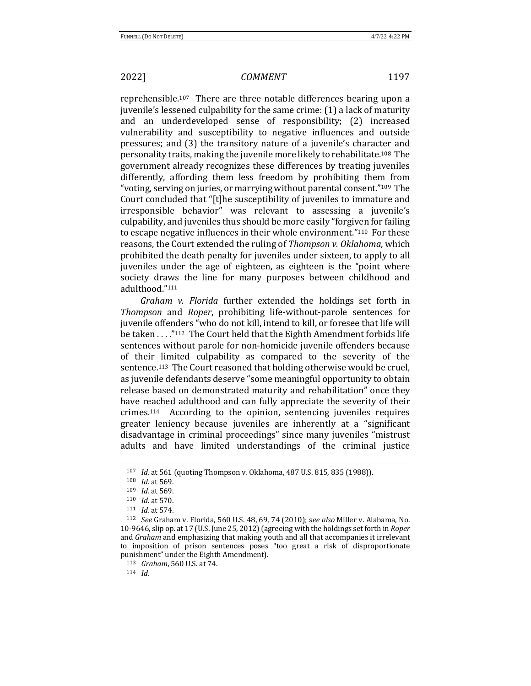reprehensible.<sup>107</sup> There are three notable differences bearing upon a juvenile's lessened culpability for the same crime: (1) a lack of maturity and an underdeveloped sense of responsibility; (2) increased vulnerability and susceptibility to negative influences and outside pressures; and (3) the transitory nature of a juvenile's character and personality traits, making the juvenile more likely to rehabilitate.<sup>108</sup> The government already recognizes these differences by treating juveniles differently, affording them less freedom by prohibiting them from "voting, serving on juries, or marrying without parental consent."<sup>109</sup> The Court concluded that "[t]he susceptibility of juveniles to immature and irresponsible behavior" was relevant to assessing a juvenile's culpability, and juveniles thus should be more easily "forgiven for failing to escape negative influences in their whole environment."<sup>110</sup> For these reasons, the Court extended the ruling of *Thompson v. Oklahoma*, which prohibited the death penalty for juveniles under sixteen, to apply to all juveniles under the age of eighteen, as eighteen is the "point where society draws the line for many purposes between childhood and adulthood."111

Graham v. Florida further extended the holdings set forth in *Thompson* and *Roper*, prohibiting life-without-parole sentences for juvenile offenders "who do not kill, intend to kill, or foresee that life will be taken . . . . "112 The Court held that the Eighth Amendment forbids life sentences without parole for non-homicide juvenile offenders because of their limited culpability as compared to the severity of the sentence.<sup>113</sup> The Court reasoned that holding otherwise would be cruel, as juvenile defendants deserve "some meaningful opportunity to obtain release based on demonstrated maturity and rehabilitation" once they have reached adulthood and can fully appreciate the severity of their  $c$ rimes.<sup>114</sup> According to the opinion, sentencing juveniles requires greater leniency because juveniles are inherently at a "significant disadvantage in criminal proceedings" since many juveniles "mistrust adults and have limited understandings of the criminal justice

<sup>114</sup> *Id.*

<sup>107</sup> *Id.* at 561 (quoting Thompson v. Oklahoma, 487 U.S. 815, 835 (1988)).

<sup>108</sup> *Id.* at 569.

<sup>109</sup> *Id.* at 569.

<sup>110</sup> *Id.* at 570.

 $111$  *Id.* at 574.

<sup>&</sup>lt;sup>112</sup> *See* Graham v. Florida, 560 U.S. 48, 69, 74 (2010); see also Miller v. Alabama, No. 10-9646, slip op. at 17 (U.S. June 25, 2012) (agreeing with the holdings set forth in *Roper* and *Graham* and emphasizing that making youth and all that accompanies it irrelevant to imposition of prison sentences poses "too great a risk of disproportionate punishment" under the Eighth Amendment).

<sup>113</sup> *Graham*, 560 U.S. at 74.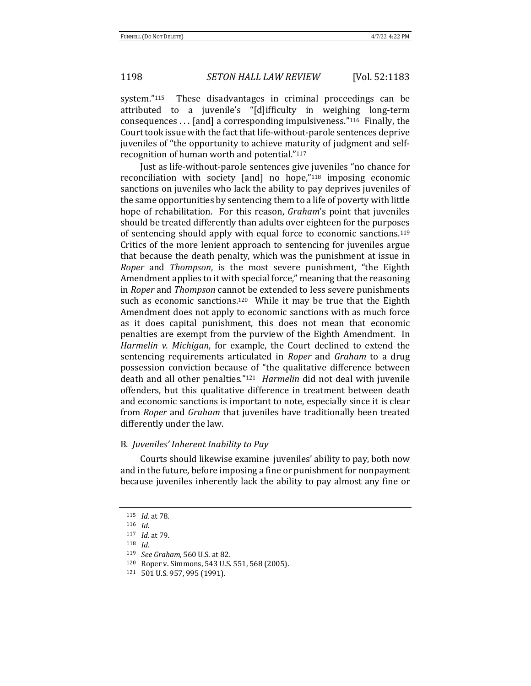system." $115$  These disadvantages in criminal proceedings can be attributed to a juvenile's "[d]ifficulty in weighing long-term consequences  $\dots$  [and] a corresponding impulsiveness."<sup>116</sup> Finally, the Court took issue with the fact that life-without-parole sentences deprive juveniles of "the opportunity to achieve maturity of judgment and selfrecognition of human worth and potential."<sup>117</sup>

Just as life-without-parole sentences give juveniles "no chance for reconciliation with society  $[and]$  no hope,"<sup>118</sup> imposing economic sanctions on juveniles who lack the ability to pay deprives juveniles of the same opportunities by sentencing them to a life of poverty with little hope of rehabilitation. For this reason, *Graham's* point that juveniles should be treated differently than adults over eighteen for the purposes of sentencing should apply with equal force to economic sanctions.<sup>119</sup> Critics of the more lenient approach to sentencing for juveniles argue that because the death penalty, which was the punishment at issue in *Roper* and *Thompson*, is the most severe punishment, "the Eighth Amendment applies to it with special force," meaning that the reasoning in *Roper* and *Thompson* cannot be extended to less severe punishments such as economic sanctions.<sup>120</sup> While it may be true that the Eighth Amendment does not apply to economic sanctions with as much force as it does capital punishment, this does not mean that economic penalties are exempt from the purview of the Eighth Amendment. In *Harmelin v. Michigan*, for example, the Court declined to extend the sentencing requirements articulated in *Roper* and *Graham* to a drug possession conviction because of "the qualitative difference between death and all other penalties."<sup>121</sup> *Harmelin* did not deal with juvenile offenders, but this qualitative difference in treatment between death and economic sanctions is important to note, especially since it is clear from *Roper* and *Graham* that juveniles have traditionally been treated differently under the law.

# B. *Juveniles' Inherent Inability to Pay*

Courts should likewise examine juveniles' ability to pay, both now and in the future, before imposing a fine or punishment for nonpayment because juveniles inherently lack the ability to pay almost any fine or

<sup>115</sup> *Id.* at 78.

<sup>116</sup> *Id.*

<sup>117</sup> *Id.* at 79. <sup>118</sup> *Id.*

<sup>119</sup> *See Graham*, 560 U.S. at 82.

<sup>120</sup> Roper v. Simmons, 543 U.S. 551, 568 (2005).

 $121$  501 U.S. 957, 995 (1991).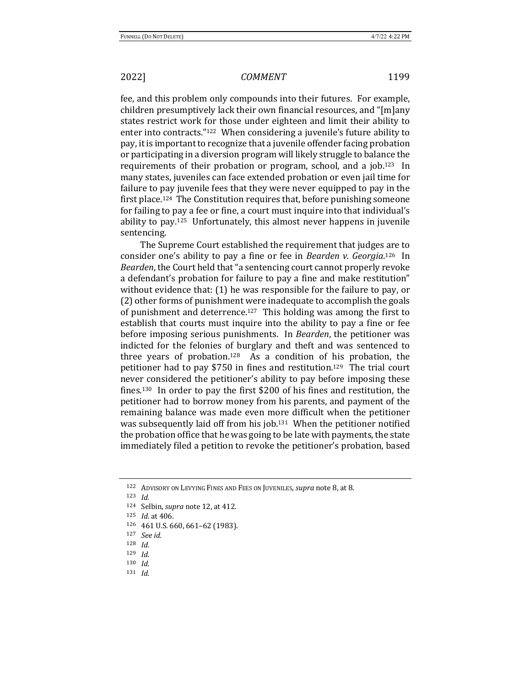fee, and this problem only compounds into their futures. For example, children presumptively lack their own financial resources, and "[m]any states restrict work for those under eighteen and limit their ability to enter into contracts."<sup>122</sup> When considering a juvenile's future ability to pay, it is important to recognize that a juvenile offender facing probation or participating in a diversion program will likely struggle to balance the requirements of their probation or program, school, and a job.<sup>123</sup> In many states, juveniles can face extended probation or even jail time for failure to pay juvenile fees that they were never equipped to pay in the first place.<sup>124</sup> The Constitution requires that, before punishing someone for failing to pay a fee or fine, a court must inquire into that individual's ability to pay.<sup>125</sup> Unfortunately, this almost never happens in juvenile sentencing.

The Supreme Court established the requirement that judges are to consider one's ability to pay a fine or fee in *Bearden v. Georgia*.<sup>126</sup> In *Bearden*, the Court held that "a sentencing court cannot properly revoke a defendant's probation for failure to pay a fine and make restitution" without evidence that:  $(1)$  he was responsible for the failure to pay, or (2) other forms of punishment were inadequate to accomplish the goals of punishment and deterrence.<sup>127</sup> This holding was among the first to establish that courts must inquire into the ability to pay a fine or fee before imposing serious punishments. In *Bearden*, the petitioner was indicted for the felonies of burglary and theft and was sentenced to three years of probation.<sup>128</sup> As a condition of his probation, the petitioner had to pay \$750 in fines and restitution.<sup>129</sup> The trial court never considered the petitioner's ability to pay before imposing these fines.<sup>130</sup> In order to pay the first \$200 of his fines and restitution, the petitioner had to borrow money from his parents, and payment of the remaining balance was made even more difficult when the petitioner was subsequently laid off from his job.<sup>131</sup> When the petitioner notified the probation office that he was going to be late with payments, the state immediately filed a petition to revoke the petitioner's probation, based

<sup>129</sup> *Id.*

<sup>131</sup> *Id.*

<sup>122</sup> ADVISORY ON LEVYING FINES AND FEES ON JUVENILES, *supra* note 8, at 8.

<sup>123</sup> *Id.*

<sup>124</sup> Selbin, *supra* note 12, at 412.

<sup>125</sup> *Id.* at 406.

 $126$  461 U.S. 660, 661-62 (1983).

<sup>127</sup> *See id.*

<sup>128</sup> *Id.*

<sup>130</sup> *Id.*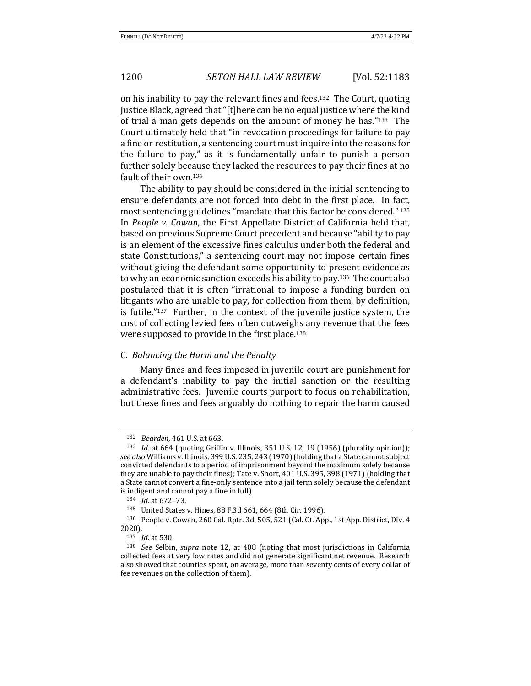on his inability to pay the relevant fines and fees.<sup>132</sup> The Court, quoting Justice Black, agreed that "[t]here can be no equal justice where the kind of trial a man gets depends on the amount of money he has." $133$  The Court ultimately held that "in revocation proceedings for failure to pay a fine or restitution, a sentencing court must inquire into the reasons for the failure to  $pay,''$  as it is fundamentally unfair to punish a person further solely because they lacked the resources to pay their fines at no fault of their own.<sup>134</sup>

The ability to pay should be considered in the initial sentencing to ensure defendants are not forced into debt in the first place. In fact, most sentencing guidelines "mandate that this factor be considered." 135 In *People v. Cowan*, the First Appellate District of California held that, based on previous Supreme Court precedent and because "ability to pay is an element of the excessive fines calculus under both the federal and state Constitutions," a sentencing court may not impose certain fines without giving the defendant some opportunity to present evidence as to why an economic sanction exceeds his ability to pay.<sup>136</sup> The court also postulated that it is often "irrational to impose a funding burden on litigants who are unable to pay, for collection from them, by definition, is futile." $137$  Further, in the context of the juvenile justice system, the cost of collecting levied fees often outweighs any revenue that the fees were supposed to provide in the first place.<sup>138</sup>

# C. *Balancing the Harm and the Penalty*

Many fines and fees imposed in juvenile court are punishment for a defendant's inability to pay the initial sanction or the resulting administrative fees. Juvenile courts purport to focus on rehabilitation, but these fines and fees arguably do nothing to repair the harm caused

<sup>132</sup> *Bearden*, 461 U.S. at 663.

<sup>&</sup>lt;sup>133</sup> *Id.* at 664 (quoting Griffin v. Illinois, 351 U.S. 12, 19 (1956) (plurality opinion)); see also Williams v. Illinois, 399 U.S. 235, 243 (1970) (holding that a State cannot subject convicted defendants to a period of imprisonment beyond the maximum solely because they are unable to pay their fines); Tate v. Short, 401 U.S. 395, 398 (1971) (holding that a State cannot convert a fine-only sentence into a jail term solely because the defendant is indigent and cannot pay a fine in full).

<sup>134</sup> *Id.* at 672-73.

<sup>135</sup> United States v. Hines, 88 F.3d 661, 664 (8th Cir. 1996).

<sup>136</sup> People v. Cowan, 260 Cal. Rptr. 3d. 505, 521 (Cal. Ct. App., 1st App. District, Div. 4 2020).

<sup>137</sup> *Id.* at 530.

<sup>&</sup>lt;sup>138</sup> See Selbin, supra note 12, at 408 (noting that most jurisdictions in California collected fees at very low rates and did not generate significant net revenue. Research also showed that counties spent, on average, more than seventy cents of every dollar of fee revenues on the collection of them).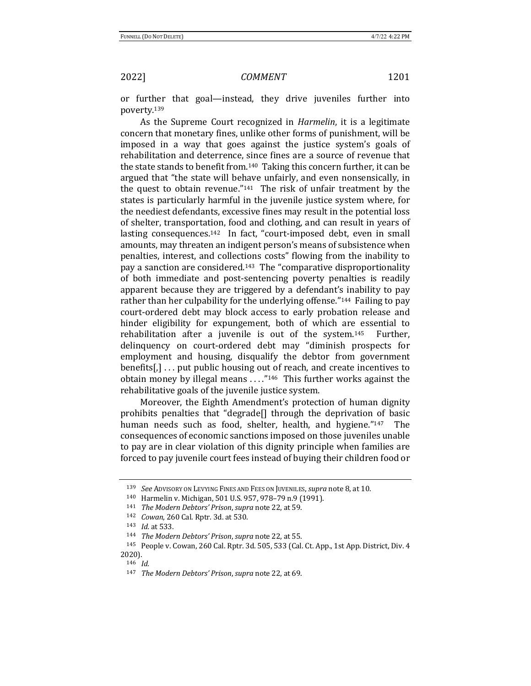or further that goal—instead, they drive juveniles further into poverty.139

As the Supreme Court recognized in *Harmelin*, it is a legitimate concern that monetary fines, unlike other forms of punishment, will be imposed in a way that goes against the justice system's goals of rehabilitation and deterrence, since fines are a source of revenue that the state stands to benefit from.<sup>140</sup> Taking this concern further, it can be argued that "the state will behave unfairly, and even nonsensically, in the quest to obtain revenue." $141$  The risk of unfair treatment by the states is particularly harmful in the juvenile justice system where, for the neediest defendants, excessive fines may result in the potential loss of shelter, transportation, food and clothing, and can result in years of lasting consequences.<sup>142</sup> In fact, "court-imposed debt, even in small amounts, may threaten an indigent person's means of subsistence when penalties, interest, and collections costs" flowing from the inability to pay a sanction are considered.<sup>143</sup> The "comparative disproportionality of both immediate and post-sentencing poverty penalties is readily apparent because they are triggered by a defendant's inability to pay rather than her culpability for the underlying offense."<sup>144</sup> Failing to pay court-ordered debt may block access to early probation release and hinder eligibility for expungement, both of which are essential to rehabilitation after a juvenile is out of the system.<sup>145</sup> Further, delinquency on court-ordered debt may "diminish prospects for employment and housing, disqualify the debtor from government benefits[,]  $\ldots$  put public housing out of reach, and create incentives to obtain money by illegal means  $\dots$ ."<sup>146</sup> This further works against the rehabilitative goals of the juvenile justice system.

Moreover, the Eighth Amendment's protection of human dignity prohibits penalties that "degrade $\Box$  through the deprivation of basic human needs such as food, shelter, health, and hygiene."<sup>147</sup> The consequences of economic sanctions imposed on those juveniles unable to pay are in clear violation of this dignity principle when families are forced to pay juvenile court fees instead of buying their children food or

<sup>139</sup> *See* ADVISORY ON LEVYING FINES AND FEES ON JUVENILES, *supra* note 8, at 10.

 $140$  Harmelin v. Michigan, 501 U.S. 957, 978–79 n.9 (1991).

<sup>141</sup> *The Modern Debtors' Prison, supra note* 22, at 59.

<sup>142</sup> *Cowan*, 260 Cal. Rptr. 3d. at 530.

<sup>143</sup> *Id.* at 533.

<sup>144</sup> *The Modern Debtors' Prison, supra note* 22, at 55.

<sup>&</sup>lt;sup>145</sup> People v. Cowan, 260 Cal. Rptr. 3d. 505, 533 (Cal. Ct. App., 1st App. District, Div. 4 2020).

<sup>146</sup> *Id.*

<sup>147</sup> *The Modern Debtors' Prison, supra note* 22, at 69.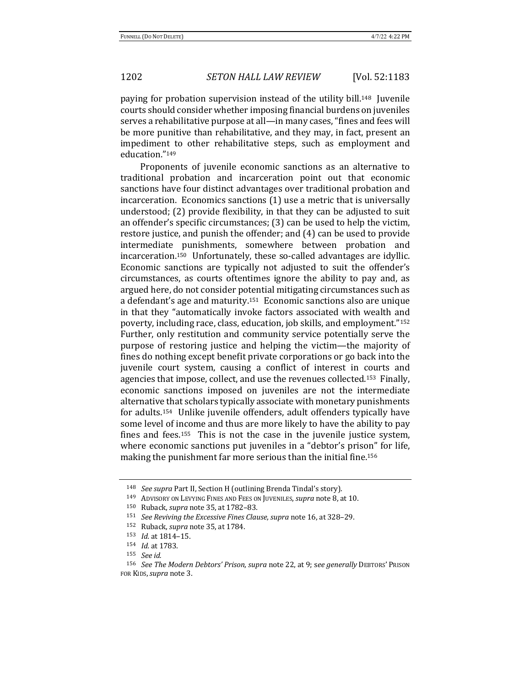paying for probation supervision instead of the utility bill.<sup>148</sup> Juvenile courts should consider whether imposing financial burdens on juveniles serves a rehabilitative purpose at all—in many cases, "fines and fees will be more punitive than rehabilitative, and they may, in fact, present an impediment to other rehabilitative steps, such as employment and education."149

Proponents of juvenile economic sanctions as an alternative to traditional probation and incarceration point out that economic sanctions have four distinct advantages over traditional probation and incarceration. Economics sanctions  $(1)$  use a metric that is universally understood;  $(2)$  provide flexibility, in that they can be adjusted to suit an offender's specific circumstances;  $(3)$  can be used to help the victim, restore justice, and punish the offender; and (4) can be used to provide intermediate punishments, somewhere between probation and incarceration.<sup>150</sup> Unfortunately, these so-called advantages are idyllic. Economic sanctions are typically not adjusted to suit the offender's circumstances, as courts oftentimes ignore the ability to pay and, as argued here, do not consider potential mitigating circumstances such as a defendant's age and maturity.<sup>151</sup> Economic sanctions also are unique in that they "automatically invoke factors associated with wealth and poverty, including race, class, education, job skills, and employment."<sup>152</sup> Further, only restitution and community service potentially serve the purpose of restoring justice and helping the victim—the majority of fines do nothing except benefit private corporations or go back into the juvenile court system, causing a conflict of interest in courts and agencies that impose, collect, and use the revenues collected.<sup>153</sup> Finally, economic sanctions imposed on juveniles are not the intermediate alternative that scholars typically associate with monetary punishments for adults.<sup>154</sup> Unlike juvenile offenders, adult offenders typically have some level of income and thus are more likely to have the ability to pay fines and fees.<sup>155</sup> This is not the case in the juvenile justice system, where economic sanctions put juveniles in a "debtor's prison" for life, making the punishment far more serious than the initial fine.<sup>156</sup>

<sup>&</sup>lt;sup>148</sup> *See supra* Part II, Section H (outlining Brenda Tindal's story).

<sup>149</sup> ADVISORY ON LEVYING FINES AND FEES ON JUVENILES, *supra* note 8, at 10.

<sup>150</sup> Ruback, *supra* note 35, at 1782-83.

<sup>151</sup> *See Reviving the Excessive Fines Clause, supra note* 16, at 328–29.

<sup>152</sup> Ruback, *supra* note 35, at 1784.

<sup>153</sup> *Id.* at 1814–15.

<sup>154</sup> *Id.* at 1783.

<sup>155</sup> *See id.*

<sup>156</sup> *See The Modern Debtors' Prison, supra* note 22, at 9; see generally DEBTORS' PRISON FOR KIDS,*supra* note 3.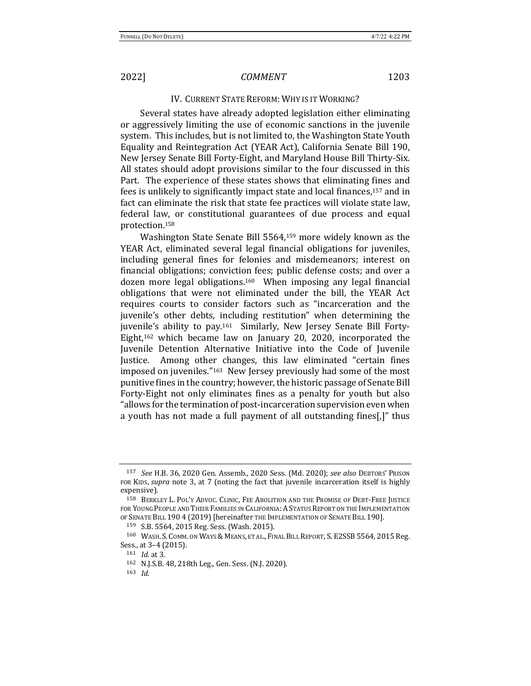# IV. CURRENT STATE REFORM: WHY IS IT WORKING?

Several states have already adopted legislation either eliminating or aggressively limiting the use of economic sanctions in the juvenile system. This includes, but is not limited to, the Washington State Youth Equality and Reintegration Act (YEAR Act), California Senate Bill 190, New Jersey Senate Bill Forty-Eight, and Maryland House Bill Thirty-Six. All states should adopt provisions similar to the four discussed in this Part. The experience of these states shows that eliminating fines and fees is unlikely to significantly impact state and local finances,<sup>157</sup> and in fact can eliminate the risk that state fee practices will violate state law, federal law, or constitutional guarantees of due process and equal protection.158

Washington State Senate Bill  $5564$ ,<sup>159</sup> more widely known as the YEAR Act, eliminated several legal financial obligations for juveniles, including general fines for felonies and misdemeanors; interest on financial obligations; conviction fees; public defense costs; and over a dozen more legal obligations.<sup>160</sup> When imposing any legal financial obligations that were not eliminated under the bill, the YEAR Act requires courts to consider factors such as "incarceration and the juvenile's other debts, including restitution" when determining the juvenile's ability to pay.<sup>161</sup> Similarly, New Jersey Senate Bill Forty-Eight, $162$  which became law on January 20, 2020, incorporated the Juvenile Detention Alternative Initiative into the Code of Juvenile Justice. Among other changes, this law eliminated "certain fines imposed on juveniles."<sup>163</sup> New Jersey previously had some of the most punitive fines in the country; however, the historic passage of Senate Bill Forty-Eight not only eliminates fines as a penalty for youth but also "allows for the termination of post-incarceration supervision even when a youth has not made a full payment of all outstanding fines[,]" thus

<sup>157</sup> *See* H.B. 36, 2020 Gen. Assemb., 2020 Sess. (Md. 2020); *see also* DEBTORS' PRISON FOR KIDS, *supra* note 3, at 7 (noting the fact that juvenile incarceration itself is highly expensive).

<sup>158</sup> BERKLEY L. POL'Y ADVOC. CLINIC, FEE ABOLITION AND THE PROMISE OF DEBT-FREE JUSTICE FOR YOUNG PEOPLE AND THEIR FAMILIES IN CALIFORNIA: A STATUS REPORT ON THE IMPLEMENTATION OF SENATE BILL 190 4 (2019) [hereinafter THE IMPLEMENTATION OF SENATE BILL 190].

<sup>159</sup> S.B. 5564, 2015 Reg. Sess. (Wash. 2015).

<sup>160</sup> WASH. S. COMM. ON WAYS & MEANS, ET AL., FINAL BILL REPORT, S. E2SSB 5564, 2015 Reg. Sess., at 3-4 (2015).

<sup>161</sup> *Id.* at 3.

<sup>162</sup> N.J.S.B. 48, 218th Leg., Gen. Sess. (N.J. 2020).

<sup>163</sup> *Id.*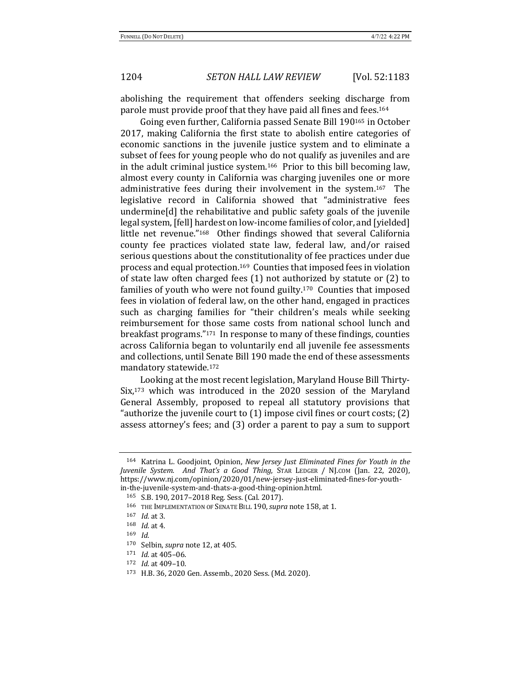abolishing the requirement that offenders seeking discharge from parole must provide proof that they have paid all fines and fees.<sup>164</sup>

Going even further, California passed Senate Bill 190<sup>165</sup> in October 2017, making California the first state to abolish entire categories of economic sanctions in the juvenile justice system and to eliminate a subset of fees for young people who do not qualify as juveniles and are in the adult criminal justice system.<sup>166</sup> Prior to this bill becoming law, almost every county in California was charging juveniles one or more administrative fees during their involvement in the system.<sup>167</sup> The legislative record in California showed that "administrative fees undermine<sup>[d]</sup> the rehabilitative and public safety goals of the juvenile legal system, [fell] hardest on low-income families of color, and [yielded] little net revenue."<sup>168</sup> Other findings showed that several California county fee practices violated state law, federal law, and/or raised serious questions about the constitutionality of fee practices under due process and equal protection.<sup>169</sup> Counties that imposed fees in violation of state law often charged fees  $(1)$  not authorized by statute or  $(2)$  to families of youth who were not found guilty.<sup>170</sup> Counties that imposed fees in violation of federal law, on the other hand, engaged in practices such as charging families for "their children's meals while seeking reimbursement for those same costs from national school lunch and breakfast programs." $171$  In response to many of these findings, counties across California began to voluntarily end all juvenile fee assessments and collections, until Senate Bill 190 made the end of these assessments mandatory statewide.<sup>172</sup>

Looking at the most recent legislation, Maryland House Bill Thirty- $Six<sub>173</sub>$  which was introduced in the 2020 session of the Maryland General Assembly, proposed to repeal all statutory provisions that "authorize the juvenile court to  $(1)$  impose civil fines or court costs;  $(2)$ assess attorney's fees; and (3) order a parent to pay a sum to support

<sup>&</sup>lt;sup>164</sup> Katrina L. Goodjoint, Opinion, *New Jersey Just Eliminated Fines for Youth in the Juvenile System. And That's a Good Thing*, STAR LEDGER / NJ.COM (Jan. 22, 2020), https://www.nj.com/opinion/2020/01/new-jersey-just-eliminated-fines-for-youthin-the-juvenile-system-and-thats-a-good-thing-opinion.html. 

<sup>165</sup> S.B. 190, 2017-2018 Reg. Sess. (Cal. 2017).

<sup>166</sup> THE IMPLEMENTATION OF SENATE BILL 190, *supra* note 158, at 1.

<sup>167</sup> *Id.* at 3.

<sup>168</sup> *Id.* at 4.

<sup>169</sup> *Id.*

<sup>170</sup> Selbin, *supra* note 12, at 405.

<sup>171</sup> *Id.* at 405-06.

<sup>172</sup> *Id.* at 409-10.

<sup>173</sup> H.B. 36, 2020 Gen. Assemb., 2020 Sess. (Md. 2020).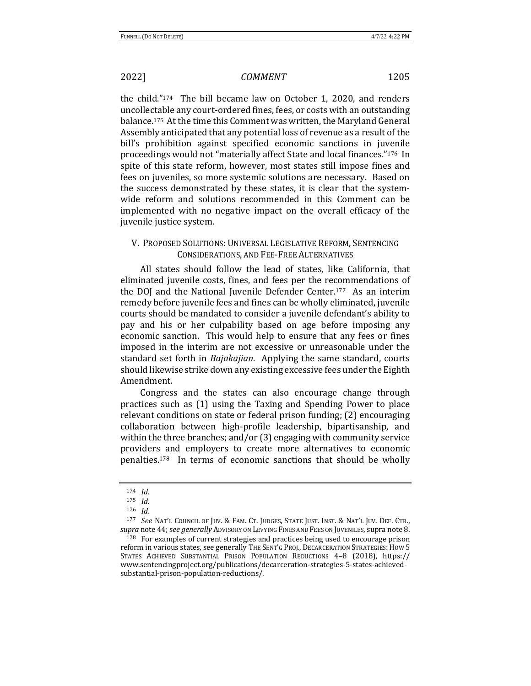the child." $174$  The bill became law on October 1, 2020, and renders uncollectable any court-ordered fines, fees, or costs with an outstanding balance.<sup>175</sup> At the time this Comment was written, the Maryland General Assembly anticipated that any potential loss of revenue as a result of the bill's prohibition against specified economic sanctions in juvenile proceedings would not "materially affect State and local finances."<sup>176</sup> In spite of this state reform, however, most states still impose fines and fees on juveniles, so more systemic solutions are necessary. Based on the success demonstrated by these states, it is clear that the systemwide reform and solutions recommended in this Comment can be implemented with no negative impact on the overall efficacy of the juvenile justice system.

# V. PROPOSED SOLUTIONS: UNIVERSAL LEGISLATIVE REFORM, SENTENCING CONSIDERATIONS, AND FEE-FREE ALTERNATIVES

All states should follow the lead of states, like California, that eliminated juvenile costs, fines, and fees per the recommendations of the DOJ and the National Juvenile Defender Center.<sup>177</sup> As an interim remedy before juvenile fees and fines can be wholly eliminated, juvenile courts should be mandated to consider a juvenile defendant's ability to pay and his or her culpability based on age before imposing any economic sanction. This would help to ensure that any fees or fines imposed in the interim are not excessive or unreasonable under the standard set forth in *Bajakajian*. Applying the same standard, courts should likewise strike down any existing excessive fees under the Eighth Amendment. 

Congress and the states can also encourage change through practices such as (1) using the Taxing and Spending Power to place relevant conditions on state or federal prison funding; (2) encouraging collaboration between high-profile leadership, bipartisanship, and within the three branches; and/or  $(3)$  engaging with community service providers and employers to create more alternatives to economic penalties.<sup>178</sup> In terms of economic sanctions that should be wholly

<sup>174</sup> *Id.*

<sup>175</sup> *Id.*

<sup>176</sup> *Id.*

<sup>&</sup>lt;sup>177</sup> *See* Nat'l Council of Juv. & FAM. Ct. JUDGES, STATE JUST. INST. & NAT'L JUV. DEF. CTR., supra note 44; see generally ADVISORY ON LEVYING FINES AND FEES ON JUVENILES, supra note 8.

<sup>178</sup> For examples of current strategies and practices being used to encourage prison reform in various states, see generally THE SENT'G PROJ., DECARCERATION STRATEGIES: HOW 5 STATES ACHIEVED SUBSTANTIAL PRISON POPULATION REDUCTIONS 4-8 (2018), https:// www.sentencingproject.org/publications/decarceration-strategies-5-states-achievedsubstantial-prison-population-reductions/.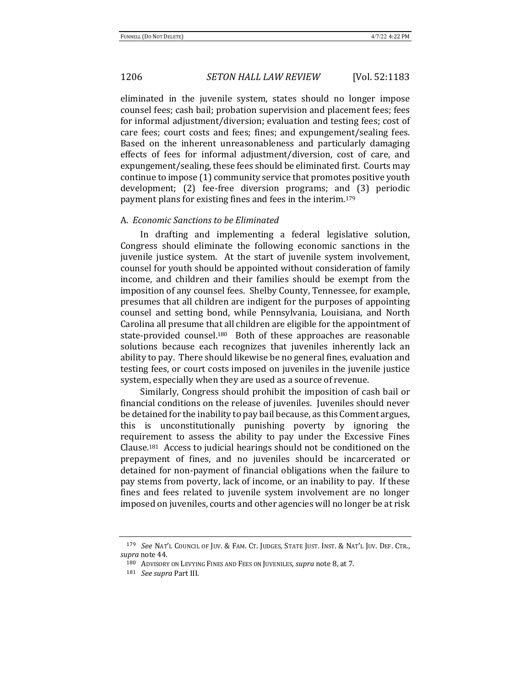eliminated in the juvenile system, states should no longer impose counsel fees; cash bail; probation supervision and placement fees; fees for informal adjustment/diversion; evaluation and testing fees; cost of care fees; court costs and fees; fines; and expungement/sealing fees. Based on the inherent unreasonableness and particularly damaging effects of fees for informal adjustment/diversion, cost of care, and expungement/sealing, these fees should be eliminated first. Courts may continue to impose (1) community service that promotes positive youth development; (2) fee-free diversion programs; and (3) periodic payment plans for existing fines and fees in the interim.<sup>179</sup>

### A. *Economic Sanctions to be Eliminated*

In drafting and implementing a federal legislative solution, Congress should eliminate the following economic sanctions in the juvenile justice system. At the start of juvenile system involvement, counsel for youth should be appointed without consideration of family income, and children and their families should be exempt from the imposition of any counsel fees. Shelby County, Tennessee, for example, presumes that all children are indigent for the purposes of appointing counsel and setting bond, while Pennsylvania, Louisiana, and North Carolina all presume that all children are eligible for the appointment of state-provided counsel.<sup>180</sup> Both of these approaches are reasonable solutions because each recognizes that juveniles inherently lack an ability to pay. There should likewise be no general fines, evaluation and testing fees, or court costs imposed on juveniles in the juvenile justice system, especially when they are used as a source of revenue.

Similarly, Congress should prohibit the imposition of cash bail or financial conditions on the release of juveniles. Juveniles should never be detained for the inability to pay bail because, as this Comment argues, this is unconstitutionally punishing poverty by ignoring the requirement to assess the ability to pay under the Excessive Fines Clause.<sup>181</sup> Access to judicial hearings should not be conditioned on the prepayment of fines, and no juveniles should be incarcerated or detained for non-payment of financial obligations when the failure to pay stems from poverty, lack of income, or an inability to pay. If these fines and fees related to juvenile system involvement are no longer imposed on juveniles, courts and other agencies will no longer be at risk

<sup>179</sup> *See* NAT'L COUNCIL OF JUV. & FAM. CT. JUDGES, STATE JUST. INST. & NAT'L JUV. DEF. CTR., supra note 44.

<sup>180</sup> ADVISORY ON LEVYING FINES AND FEES ON JUVENILES, *supra* note 8, at 7.

<sup>181</sup> *See supra* Part III.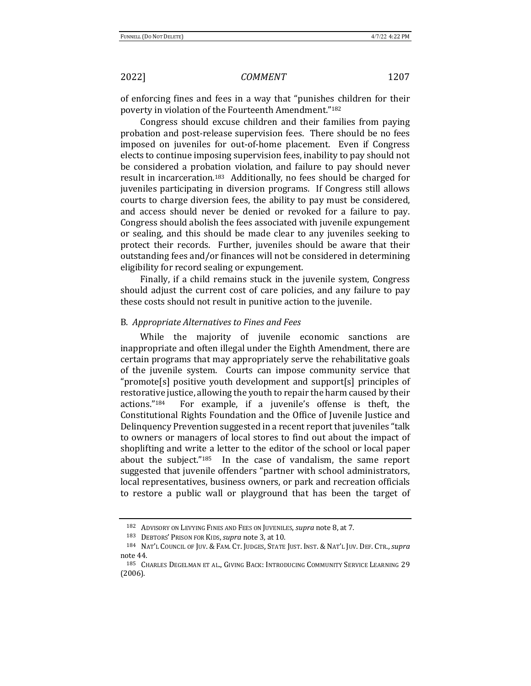of enforcing fines and fees in a way that "punishes children for their poverty in violation of the Fourteenth Amendment."182

Congress should excuse children and their families from paying probation and post-release supervision fees. There should be no fees imposed on juveniles for out-of-home placement. Even if Congress elects to continue imposing supervision fees, inability to pay should not be considered a probation violation, and failure to pay should never result in incarceration.<sup>183</sup> Additionally, no fees should be charged for juveniles participating in diversion programs. If Congress still allows courts to charge diversion fees, the ability to pay must be considered, and access should never be denied or revoked for a failure to pay. Congress should abolish the fees associated with juvenile expungement or sealing, and this should be made clear to any juveniles seeking to protect their records. Further, juveniles should be aware that their outstanding fees and/or finances will not be considered in determining eligibility for record sealing or expungement.

Finally, if a child remains stuck in the juvenile system, Congress should adjust the current cost of care policies, and any failure to pay these costs should not result in punitive action to the juvenile.

### B. *Appropriate Alternatives to Fines and Fees*

While the majority of juvenile economic sanctions are inappropriate and often illegal under the Eighth Amendment, there are certain programs that may appropriately serve the rehabilitative goals of the juvenile system. Courts can impose community service that "promote[s] positive youth development and support[s] principles of restorative justice, allowing the youth to repair the harm caused by their actions."<sup>184</sup> For example, if a juvenile's offense is theft, the Constitutional Rights Foundation and the Office of Juvenile Justice and Delinquency Prevention suggested in a recent report that juveniles "talk to owners or managers of local stores to find out about the impact of shoplifting and write a letter to the editor of the school or local paper about the subject." $185$  In the case of vandalism, the same report suggested that juvenile offenders "partner with school administrators, local representatives, business owners, or park and recreation officials to restore a public wall or playground that has been the target of

<sup>182</sup> ADVISORY ON LEVYING FINES AND FEES ON JUVENILES, *supra* note 8, at 7.

<sup>183</sup> DEBTORS' PRISON FOR KIDS, *supra* note 3, at 10.

<sup>184</sup> NAT'L COUNCIL OF JUV. & FAM. CT. JUDGES, STATE JUST. INST. & NAT'L JUV. DEF. CTR., *supra* note 44.

<sup>185</sup> CHARLES DEGELMAN ET AL., GIVING BACK: INTRODUCING COMMUNITY SERVICE LEARNING 29 (2006).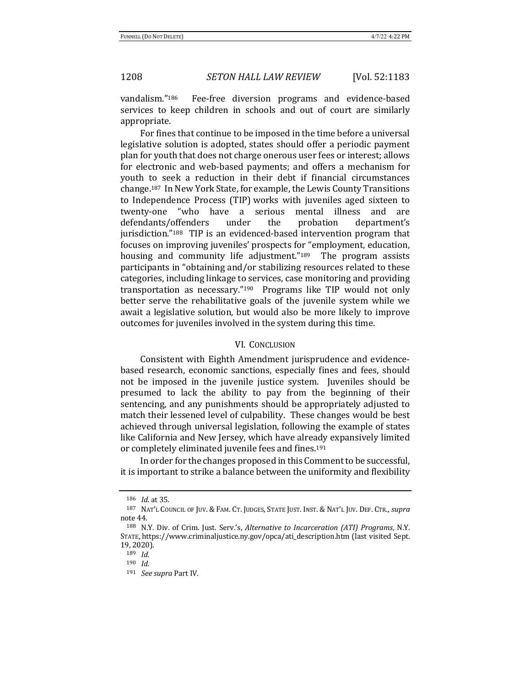vandalism."<sup>186</sup> Fee-free diversion programs and evidence-based services to keep children in schools and out of court are similarly appropriate. 

For fines that continue to be imposed in the time before a universal legislative solution is adopted, states should offer a periodic payment plan for youth that does not charge onerous user fees or interest; allows for electronic and web-based payments; and offers a mechanism for youth to seek a reduction in their debt if financial circumstances change.<sup>187</sup> In New York State, for example, the Lewis County Transitions to Independence Process (TIP) works with juveniles aged sixteen to twenty-one "who have a serious mental illness and are defendants/offenders under the probation department's jurisdiction."<sup>188</sup> TIP is an evidenced-based intervention program that focuses on improving juveniles' prospects for "employment, education, housing and community life adjustment."<sup>189</sup> The program assists participants in "obtaining and/or stabilizing resources related to these categories, including linkage to services, case monitoring and providing transportation as necessary." $190$  Programs like TIP would not only better serve the rehabilitative goals of the juvenile system while we await a legislative solution, but would also be more likely to improve outcomes for juveniles involved in the system during this time.

### VI. CONCLUSION

Consistent with Eighth Amendment jurisprudence and evidencebased research, economic sanctions, especially fines and fees, should not be imposed in the juvenile justice system. Juveniles should be presumed to lack the ability to pay from the beginning of their sentencing, and any punishments should be appropriately adjusted to match their lessened level of culpability. These changes would be best achieved through universal legislation, following the example of states like California and New Jersey, which have already expansively limited or completely eliminated juvenile fees and fines.<sup>191</sup>

In order for the changes proposed in this Comment to be successful, it is important to strike a balance between the uniformity and flexibility

<sup>186</sup> *Id.* at 35.

<sup>187</sup> NAT'L COUNCIL OF JUV. & FAM. CT. JUDGES, STATE JUST. INST. & NAT'L JUV. DEF. CTR., *supra* note 44.

<sup>188</sup> N.Y. Div. of Crim. Just. Serv.'s, *Alternative to Incarceration (ATI) Programs*, N.Y. STATE, https://www.criminaljustice.ny.gov/opca/ati\_description.htm (last visited Sept. 19, 2020).

<sup>189</sup> *Id.*

<sup>190</sup> *Id.*

<sup>191</sup> *See supra* Part IV.